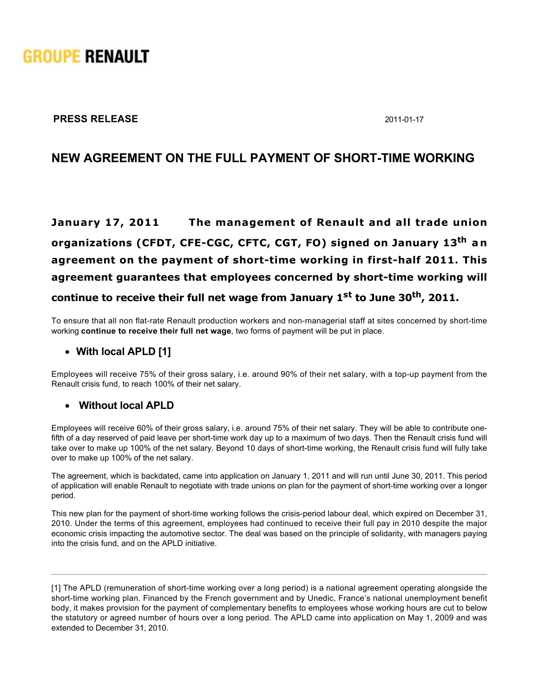

### **PRESS RELEASE** 2011-01-17

## NEW AGREEMENT ON THE FULL PAYMENT OF SHORT-TIME WORKING

# **January 17, 2011 The management of Renault and all trade union organizations (CFDT, CFE-CGC, CFTC, CGT, FO) signed on January 13<sup>th</sup> an** agreement on the payment of short-time working in first-half 2011. This agreement guarantees that employees concerned by short-time working will **continue to receive their full net wage from January 1st to June 30th, 2011.**

To ensure that all non flat-rate Renault production workers and non-managerial staff at sites concerned by short-time working **continue to receive their full net wage**, two forms of payment will be put in place.

### **With local APLD [1]**

Employees will receive 75% of their gross salary, i.e. around 90% of their net salary, with a top-up payment from the Renault crisis fund, to reach 100% of their net salary.

#### **Without local APLD**

Employees will receive 60% of their gross salary, i.e. around 75% of their net salary. They will be able to contribute onefifth of a day reserved of paid leave per short-time work day up to a maximum of two days. Then the Renault crisis fund will take over to make up 100% of the net salary. Beyond 10 days of short-time working, the Renault crisis fund will fully take over to make up 100% of the net salary.

The agreement, which is backdated, came into application on January 1, 2011 and will run until June 30, 2011. This period of application will enable Renault to negotiate with trade unions on plan for the payment of short-time working over a longer period.

This new plan for the payment of short-time working follows the crisis-period labour deal, which expired on December 31, 2010. Under the terms of this agreement, employees had continued to receive their full pay in 2010 despite the major economic crisis impacting the automotive sector. The deal was based on the principle of solidarity, with managers paying into the crisis fund, and on the APLD initiative.

[1] The APLD (remuneration of short-time working over a long period) is a national agreement operating alongside the short-time working plan. Financed by the French government and by Unedic, France's national unemployment benefit body, it makes provision for the payment of complementary benefits to employees whose working hours are cut to below the statutory or agreed number of hours over a long period. The APLD came into application on May 1, 2009 and was extended to December 31, 2010.